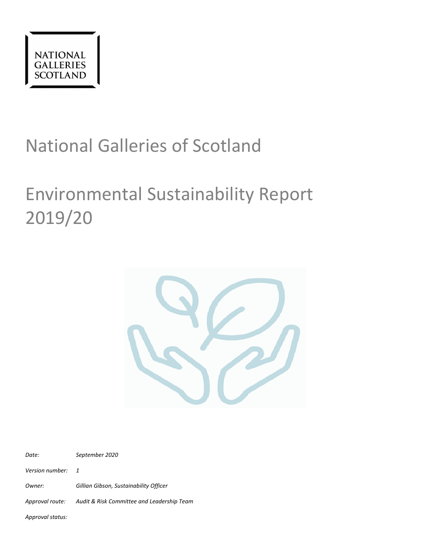

# National Galleries of Scotland

# Environmental Sustainability Report 2019/20



*Date: September 2020 Version number: 1 Owner: Gillian Gibson, Sustainability Officer Approval route: Audit & Risk Committee and Leadership Team*

*Approval status:*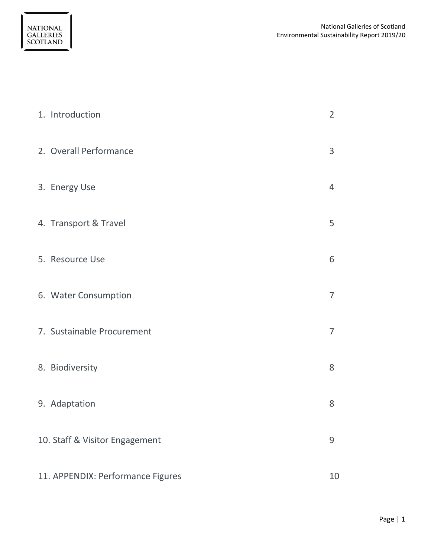| 1. Introduction                   | $\overline{2}$ |
|-----------------------------------|----------------|
| 2. Overall Performance            | 3              |
| 3. Energy Use                     | 4              |
| 4. Transport & Travel             | 5              |
| 5. Resource Use                   | 6              |
| 6. Water Consumption              | $\overline{7}$ |
| 7. Sustainable Procurement        | $\overline{7}$ |
| 8. Biodiversity                   | 8              |
| 9. Adaptation                     | 8              |
| 10. Staff & Visitor Engagement    | 9              |
| 11. APPENDIX: Performance Figures | 10             |

NATIONAL<br>GALLERIES<br>SCOTLAND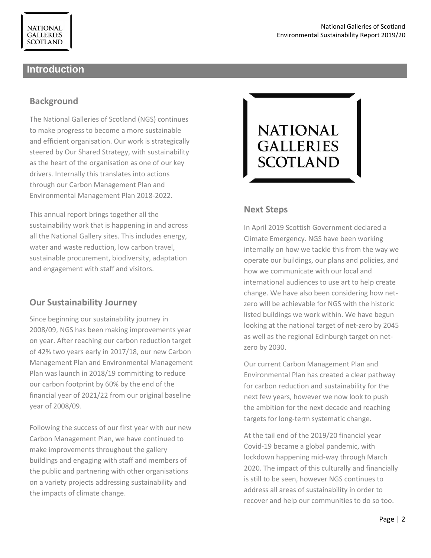## **Introduction**

## **Background**

The National Galleries of Scotland (NGS) continues to make progress to become a more sustainable and efficient organisation. Our work is strategically steered by Our Shared Strategy, with sustainability as the heart of the organisation as one of our key drivers. Internally this translates into actions through our Carbon Management Plan and Environmental Management Plan 2018-2022.

This annual report brings together all the sustainability work that is happening in and across all the National Gallery sites. This includes energy, water and waste reduction, low carbon travel, sustainable procurement, biodiversity, adaptation and engagement with staff and visitors.

## **Our Sustainability Journey**

Since beginning our sustainability journey in 2008/09, NGS has been making improvements year on year. After reaching our carbon reduction target of 42% two years early in 2017/18, our new Carbon Management Plan and Environmental Management Plan was launch in 2018/19 committing to reduce our carbon footprint by 60% by the end of the financial year of 2021/22 from our original baseline year of 2008/09.

Following the success of our first year with our new Carbon Management Plan, we have continued to make improvements throughout the gallery buildings and engaging with staff and members of the public and partnering with other organisations on a variety projects addressing sustainability and the impacts of climate change.



#### **Next Steps**

In April 2019 Scottish Government declared a Climate Emergency. NGS have been working internally on how we tackle this from the way we operate our buildings, our plans and policies, and how we communicate with our local and international audiences to use art to help create change. We have also been considering how netzero will be achievable for NGS with the historic listed buildings we work within. We have begun looking at the national target of net-zero by 2045 as well as the regional Edinburgh target on netzero by 2030.

Our current Carbon Management Plan and Environmental Plan has created a clear pathway for carbon reduction and sustainability for the next few years, however we now look to push the ambition for the next decade and reaching targets for long-term systematic change.

At the tail end of the 2019/20 financial year Covid-19 became a global pandemic, with lockdown happening mid-way through March 2020. The impact of this culturally and financially is still to be seen, however NGS continues to address all areas of sustainability in order to recover and help our communities to do so too.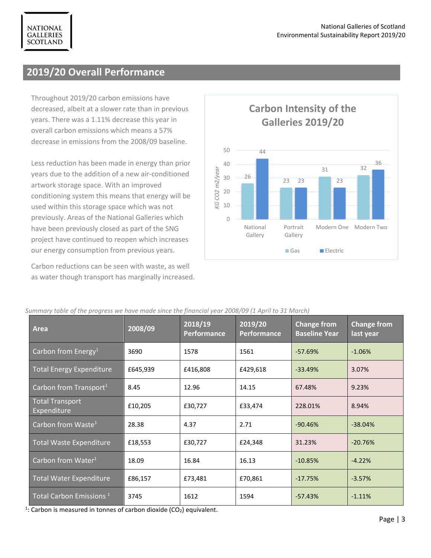## **2019/20 Overall Performance**

Throughout 2019/20 carbon emissions have decreased, albeit at a slower rate than in previous years. There was a 1.11% decrease this year in overall carbon emissions which means a 57% decrease in emissions from the 2008/09 baseline.

Less reduction has been made in energy than prior years due to the addition of a new air-conditioned artwork storage space. With an improved conditioning system this means that energy will be used within this storage space which was not previously. Areas of the National Galleries which have been previously closed as part of the SNG project have continued to reopen which increases our energy consumption from previous years.

Carbon reductions can be seen with waste, as well as water though transport has marginally increased.

*Summary table of the progress we have made since the financial year 2008/09 (1 April to 31 March)*



#### **Area 2008/09 2018/19 Performance 2019/20 Performance Change from Baseline Year Change from last year** Carbon from Energy<sup>1</sup> 2690 1578 1561 -57.69% -1.06% Total Energy Expenditure £645,939 £416,808 £429,618 -33.49% 3.07% Carbon from Transport<sup>1</sup> 8.45 12.96 14.15 67.48% 9.23% Total Transport Expenditure **E10,205** E30,727 **E10,205** E33,474 **E33,474** 228.01% 8.94% Carbon from Waste<sup>1</sup> 28.38  $\vert$  4.37  $\vert$  2.71  $\vert$  -90.46%  $\vert$  -38.04% Total Waste Expenditure £18,553 £30,727 £24,348 31.23% -20.76% Carbon from Water<sup>1</sup> 18.09 16.84 16.13 -10.85% -14.22% Total Water Expenditure £86,157 £73,481 £70,861 -17.75% -3.57% Total Carbon Emissions  $^{1}$  3745 1612 1594 -57.43% 1511% <sup>1</sup>: Carbon is measured in tonnes of carbon dioxide (CO<sub>2</sub>) equivalent.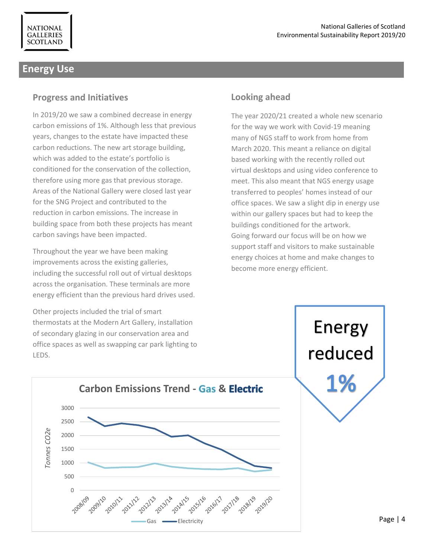## **Energy Use**

#### **Progress and Initiatives**

In 2019/20 we saw a combined decrease in energy carbon emissions of 1%. Although less that previous years, changes to the estate have impacted these carbon reductions. The new art storage building, which was added to the estate's portfolio is conditioned for the conservation of the collection, therefore using more gas that previous storage. Areas of the National Gallery were closed last year for the SNG Project and contributed to the reduction in carbon emissions. The increase in building space from both these projects has meant carbon savings have been impacted.

Throughout the year we have been making improvements across the existing galleries, including the successful roll out of virtual desktops across the organisation. These terminals are more energy efficient than the previous hard drives used.

Other projects included the trial of smart thermostats at the Modern Art Gallery, installation of secondary glazing in our conservation area and office spaces as well as swapping car park lighting to LEDS.

## **Looking ahead**

The year 2020/21 created a whole new scenario for the way we work with Covid-19 meaning many of NGS staff to work from home from March 2020. This meant a reliance on digital based working with the recently rolled out virtual desktops and using video conference to meet. This also meant that NGS energy usage transferred to peoples' homes instead of our office spaces. We saw a slight dip in energy use within our gallery spaces but had to keep the buildings conditioned for the artwork. Going forward our focus will be on how we support staff and visitors to make sustainable energy choices at home and make changes to become more energy efficient.



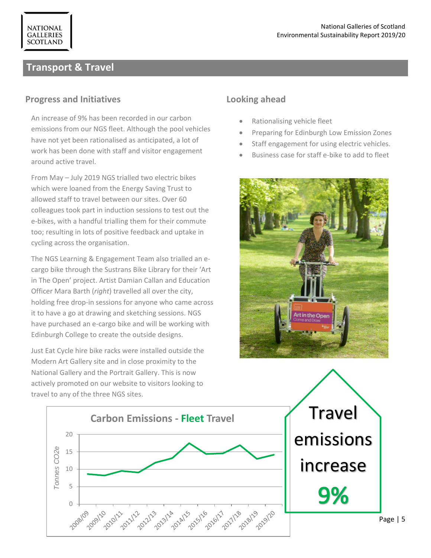## **Transport & Travel**

**NATIONAL GALLERIES SCOTLAND** 

#### **Progress and Initiatives**

An increase of 9% has been recorded in our carbon emissions from our NGS fleet. Although the pool vehicles have not yet been rationalised as anticipated, a lot of work has been done with staff and visitor engagement around active travel.

From May – July 2019 NGS trialled two electric bikes which were loaned from the Energy Saving Trust to allowed staff to travel between our sites. Over 60 colleagues took part in induction sessions to test out the e-bikes, with a handful trialling them for their commute too; resulting in lots of positive feedback and uptake in cycling across the organisation.

The NGS Learning & Engagement Team also trialled an ecargo bike through the Sustrans Bike Library for their 'Art in The Open' project. Artist Damian Callan and Education Officer Mara Barth (*right*) travelled all over the city, holding free drop-in sessions for anyone who came across it to have a go at drawing and sketching sessions. NGS have purchased an e-cargo bike and will be working with Edinburgh College to create the outside designs.

Just Eat Cycle hire bike racks were installed outside the Modern Art Gallery site and in close proximity to the National Gallery and the Portrait Gallery. This is now actively promoted on our website to visitors looking to travel to any of the three NGS sites.

## **Looking ahead**

- Rationalising vehicle fleet
- Preparing for Edinburgh Low Emission Zones
- Staff engagement for using electric vehicles.
- Business case for staff e-bike to add to fleet



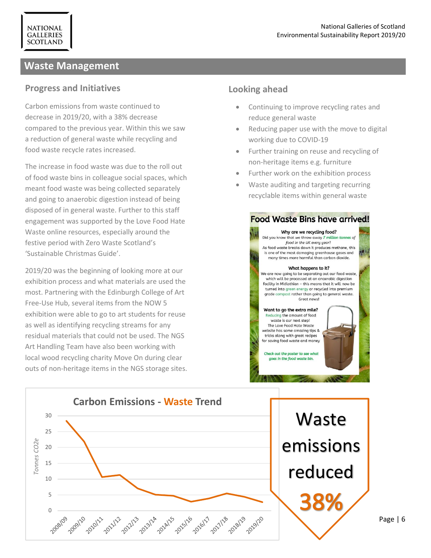## **Waste Management**

**NATIONAL GALLERIES SCOTLAND** 

#### **Progress and Initiatives**

Carbon emissions from waste continued to decrease in 2019/20, with a 38% decrease compared to the previous year. Within this we saw a reduction of general waste while recycling and food waste recycle rates increased.

The increase in food waste was due to the roll out of food waste bins in colleague social spaces, which meant food waste was being collected separately and going to anaerobic digestion instead of being disposed of in general waste. Further to this staff engagement was supported by the Love Food Hate Waste online resources, especially around the festive period with Zero Waste Scotland's 'Sustainable Christmas Guide'.

2019/20 was the beginning of looking more at our exhibition process and what materials are used the most. Partnering with the Edinburgh College of Art Free-Use Hub, several items from the NOW 5 exhibition were able to go to art students for reuse as well as identifying recycling streams for any residual materials that could not be used. The NGS Art Handling Team have also been working with local wood recycling charity Move On during clear outs of non-heritage items in the NGS storage sites.

#### **Looking ahead**

- Continuing to improve recycling rates and reduce general waste
- Reducing paper use with the move to digital working due to COVID-19
- Further training on reuse and recycling of non-heritage items e.g. furniture
- Further work on the exhibition process
- Waste auditing and targeting recurring recyclable items within general waste

#### **Food Waste Bins have arrived!**



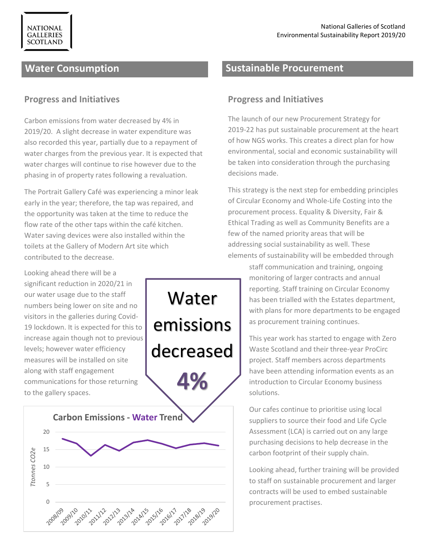## **Water Consumption**

**NATIONAL GALLERIES SCOTLAND** 

#### **Progress and Initiatives**

Carbon emissions from water decreased by 4% in 2019/20. A slight decrease in water expenditure was also recorded this year, partially due to a repayment of water charges from the previous year. It is expected that water charges will continue to rise however due to the phasing in of property rates following a revaluation.

The Portrait Gallery Café was experiencing a minor leak early in the year; therefore, the tap was repaired, and the opportunity was taken at the time to reduce the flow rate of the other taps within the café kitchen. Water saving devices were also installed within the toilets at the Gallery of Modern Art site which contributed to the decrease.

Water

emissions

decreased

Looking ahead there will be a significant reduction in 2020/21 in our water usage due to the staff numbers being lower on site and no visitors in the galleries during Covid-19 lockdown. It is expected for this to increase again though not to previous levels; however water efficiency measures will be installed on site along with staff engagement communications for those returning to the gallery spaces.



## **Sustainable Procurement**

#### **Progress and Initiatives**

The launch of our new Procurement Strategy for 2019-22 has put sustainable procurement at the heart of how NGS works. This creates a direct plan for how environmental, social and economic sustainability will be taken into consideration through the purchasing decisions made.

This strategy is the next step for embedding principles of Circular Economy and Whole-Life Costing into the procurement process. Equality & Diversity, Fair & Ethical Trading as well as Community Benefits are a few of the named priority areas that will be addressing social sustainability as well. These elements of sustainability will be embedded through

> staff communication and training, ongoing monitoring of larger contracts and annual reporting. Staff training on Circular Economy has been trialled with the Estates department, with plans for more departments to be engaged as procurement training continues.

This year work has started to engage with Zero Waste Scotland and their three-year ProCirc project. Staff members across departments have been attending information events as an introduction to Circular Economy business solutions.

Our cafes continue to prioritise using local suppliers to source their food and Life Cycle Assessment (LCA) is carried out on any large purchasing decisions to help decrease in the carbon footprint of their supply chain.

Looking ahead, further training will be provided to staff on sustainable procurement and larger contracts will be used to embed sustainable procurement practises.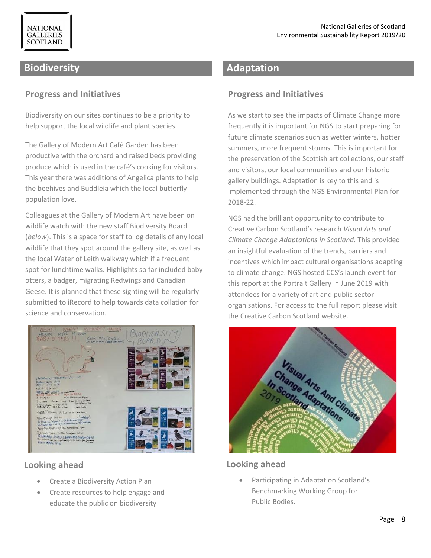## **Biodiversity**

#### **Progress and Initiatives**

Biodiversity on our sites continues to be a priority to help support the local wildlife and plant species.

The Gallery of Modern Art Café Garden has been productive with the orchard and raised beds providing produce which is used in the café's cooking for visitors. This year there was additions of Angelica plants to help the beehives and Buddleia which the local butterfly population love.

Colleagues at the Gallery of Modern Art have been on wildlife watch with the new staff Biodiversity Board (*below*). This is a space for staff to log details of any local wildlife that they spot around the gallery site, as well as the local Water of Leith walkway which if a frequent spot for lunchtime walks. Highlights so far included baby otters, a badger, migrating Redwings and Canadian Geese. It is planned that these sighting will be regularly submitted to iRecord to help towards data collation for science and conservation.



## **Looking ahead**

- Create a Biodiversity Action Plan
- Create resources to help engage and educate the public on biodiversity

## **Adaptation**

## **Progress and Initiatives**

As we start to see the impacts of Climate Change more frequently it is important for NGS to start preparing for future climate scenarios such as wetter winters, hotter summers, more frequent storms. This is important for the preservation of the Scottish art collections, our staff and visitors, our local communities and our historic gallery buildings. Adaptation is key to this and is implemented through the NGS Environmental Plan for 2018-22.

NGS had the brilliant opportunity to contribute to Creative Carbon Scotland's research *Visual Arts and Climate Change Adaptations in Scotland*. This provided an insightful evaluation of the trends, barriers and incentives which impact cultural organisations adapting to climate change. NGS hosted CCS's launch event for this report at the Portrait Gallery in June 2019 with attendees for a variety of art and public sector organisations. For access to the full report please visit the Creative Carbon Scotland website.



## **Looking ahead**

• Participating in Adaptation Scotland's Benchmarking Working Group for Public Bodies.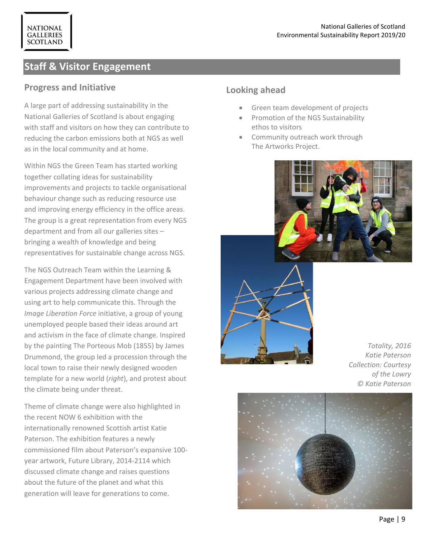## **Staff & Visitor Engagement**

#### **Progress and Initiative**

**NATIONAL GALLERIES SCOTLAND** 

A large part of addressing sustainability in the National Galleries of Scotland is about engaging with staff and visitors on how they can contribute to reducing the carbon emissions both at NGS as well as in the local community and at home.

Within NGS the Green Team has started working together collating ideas for sustainability improvements and projects to tackle organisational behaviour change such as reducing resource use and improving energy efficiency in the office areas. The group is a great representation from every NGS department and from all our galleries sites – bringing a wealth of knowledge and being representatives for sustainable change across NGS.

The NGS Outreach Team within the Learning & Engagement Department have been involved with various projects addressing climate change and using art to help communicate this. Through the *Image Liberation Force* initiative, a group of young unemployed people based their ideas around art and activism in the face of climate change. Inspired by the painting The Porteous Mob (1855) by James Drummond, the group led a procession through the local town to raise their newly designed wooden template for a new world (*right*), and protest about the climate being under threat.

Theme of climate change were also highlighted in the recent NOW 6 exhibition with the internationally renowned Scottish artist Katie Paterson. The exhibition features a newly commissioned film about Paterson's expansive 100 year artwork, Future Library, 2014-2114 which discussed climate change and raises questions about the future of the planet and what this generation will leave for generations to come.

#### **Looking ahead**

- Green team development of projects
- Promotion of the NGS Sustainability ethos to visitors
- Community outreach work through The Artworks Project.

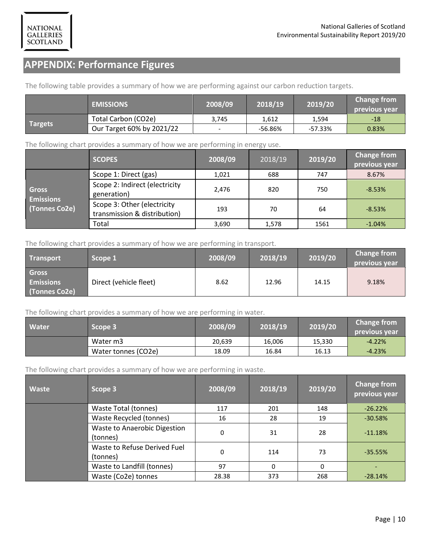## **APPENDIX: Performance Figures**

The following table provides a summary of how we are performing against our carbon reduction targets.

|                | <b>EMISSIONS</b>          | 2008/09                      | 2018/19 | 2019/20   | <b>Change from</b><br>previous year |
|----------------|---------------------------|------------------------------|---------|-----------|-------------------------------------|
| <b>Targets</b> | Total Carbon (CO2e)       | 3,745                        | 1.612   | 1.594     | -18                                 |
|                | Our Target 60% by 2021/22 | $\qquad \qquad \blacksquare$ | -56.86% | $-57.33%$ | 0.83%                               |

The following chart provides a summary of how we are performing in energy use.

|                                                   | <b>SCOPES</b>                                               | 2008/09 | 2018/19 | 2019/20 | <b>Change from</b><br>previous year |
|---------------------------------------------------|-------------------------------------------------------------|---------|---------|---------|-------------------------------------|
|                                                   | Scope 1: Direct (gas)                                       | 1.021   | 688     | 747     | 8.67%                               |
| <b>Gross</b><br><b>Emissions</b><br>(Tonnes Co2e) | Scope 2: Indirect (electricity<br>generation)               | 2,476   | 820     | 750     | $-8.53%$                            |
|                                                   | Scope 3: Other (electricity<br>transmission & distribution) | 193     | 70      | 64      | $-8.53%$                            |
|                                                   | Total                                                       | 3,690   | 1,578   | 1561    | $-1.04%$                            |

The following chart provides a summary of how we are performing in transport.

| <b>Transport</b>                                  | Scope 1                | 2008/09 | 2018/19 | 2019/20 | <b>Change from</b><br>previous vear |
|---------------------------------------------------|------------------------|---------|---------|---------|-------------------------------------|
| <b>Gross</b><br><b>Emissions</b><br>(Tonnes Co2e) | Direct (vehicle fleet) | 8.62    | 12.96   | 14.15   | 9.18%                               |

The following chart provides a summary of how we are performing in water.

| <b>Water</b> | Scope 3             | $\sqrt{2008/09}$ | 2018/19 | 2019/20 | <b>Change from</b><br>previous vear |
|--------------|---------------------|------------------|---------|---------|-------------------------------------|
|              | Water m3            | 20,639           | 16,006  | 15,330  | $-4.22%$                            |
|              | Water tonnes (CO2e) | 18.09            | 16.84   | 16.13   | $-4.23%$                            |

The following chart provides a summary of how we are performing in waste.

| <b>Waste</b> | Scope 3                                  | 2008/09 | 2018/19 | 2019/20 | <b>Change from</b><br>previous year |
|--------------|------------------------------------------|---------|---------|---------|-------------------------------------|
|              | Waste Total (tonnes)                     | 117     | 201     | 148     | $-26.22%$                           |
|              | Waste Recycled (tonnes)                  | 16      | 28      | 19      | $-30.58%$                           |
|              | Waste to Anaerobic Digestion<br>(tonnes) | 0       | 31      | 28      | $-11.18%$                           |
|              | Waste to Refuse Derived Fuel<br>(tonnes) | 0       | 114     | 73      | $-35.55%$                           |
|              | Waste to Landfill (tonnes)               | 97      | 0       | 0       |                                     |
|              | Waste (Co2e) tonnes                      | 28.38   | 373     | 268     | $-28.14%$                           |